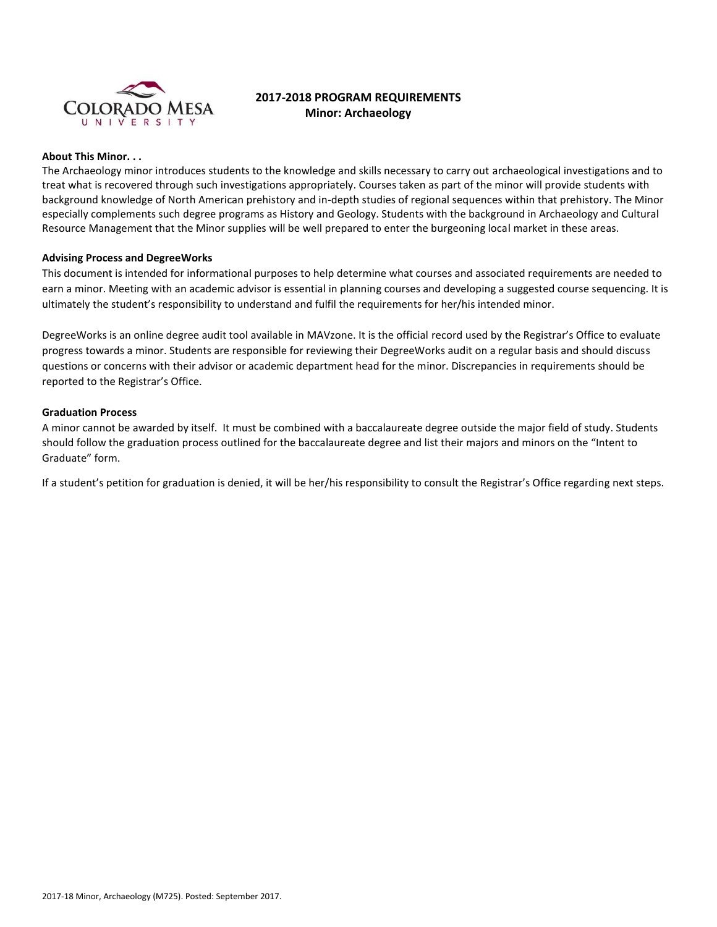

# **2017-2018 PROGRAM REQUIREMENTS Minor: Archaeology**

### **About This Minor. . .**

The Archaeology minor introduces students to the knowledge and skills necessary to carry out archaeological investigations and to treat what is recovered through such investigations appropriately. Courses taken as part of the minor will provide students with background knowledge of North American prehistory and in-depth studies of regional sequences within that prehistory. The Minor especially complements such degree programs as History and Geology. Students with the background in Archaeology and Cultural Resource Management that the Minor supplies will be well prepared to enter the burgeoning local market in these areas.

## **Advising Process and DegreeWorks**

This document is intended for informational purposes to help determine what courses and associated requirements are needed to earn a minor. Meeting with an academic advisor is essential in planning courses and developing a suggested course sequencing. It is ultimately the student's responsibility to understand and fulfil the requirements for her/his intended minor.

DegreeWorks is an online degree audit tool available in MAVzone. It is the official record used by the Registrar's Office to evaluate progress towards a minor. Students are responsible for reviewing their DegreeWorks audit on a regular basis and should discuss questions or concerns with their advisor or academic department head for the minor. Discrepancies in requirements should be reported to the Registrar's Office.

#### **Graduation Process**

A minor cannot be awarded by itself. It must be combined with a baccalaureate degree outside the major field of study. Students should follow the graduation process outlined for the baccalaureate degree and list their majors and minors on the "Intent to Graduate" form.

If a student's petition for graduation is denied, it will be her/his responsibility to consult the Registrar's Office regarding next steps.